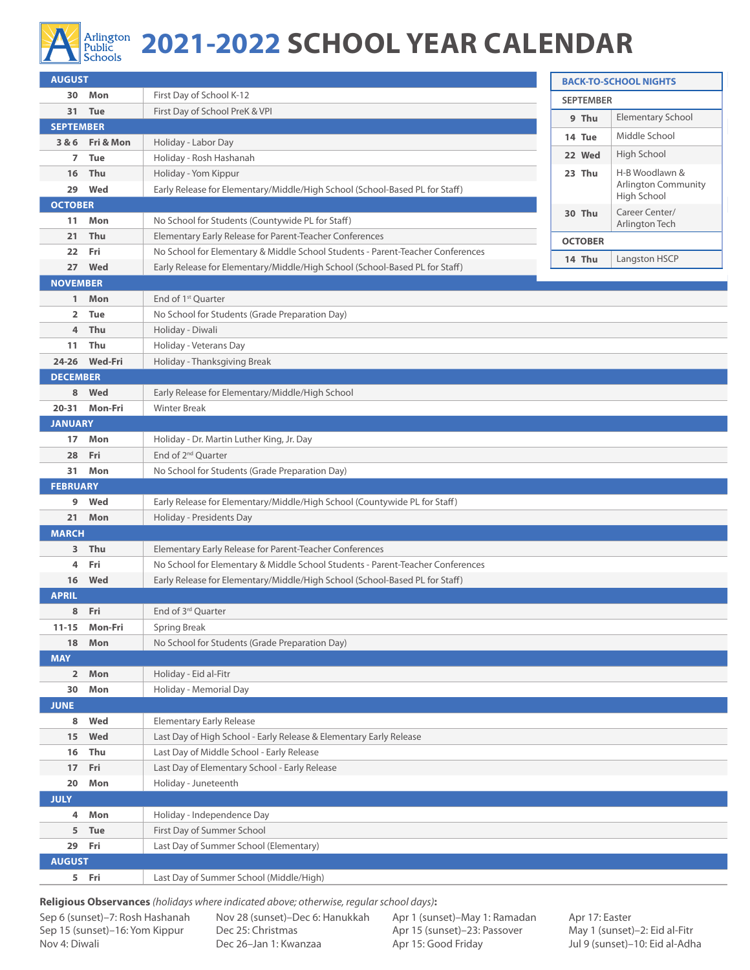

## Arlington **2021-2022 SCHOOL YEAR CALENDAR**

| <b>AUGUST</b>    |                 |                                                                                                                                                               | <b>BACK-TO-SCHOOL NIGHTS</b> |                                              |  |  |  |
|------------------|-----------------|---------------------------------------------------------------------------------------------------------------------------------------------------------------|------------------------------|----------------------------------------------|--|--|--|
|                  | 30 Mon          | First Day of School K-12                                                                                                                                      | <b>SEPTEMBER</b>             |                                              |  |  |  |
|                  | 31 Tue          | First Day of School PreK & VPI                                                                                                                                | 9 Thu                        | <b>Elementary School</b>                     |  |  |  |
| <b>SEPTEMBER</b> |                 |                                                                                                                                                               | 14 Tue                       | Middle School                                |  |  |  |
|                  | 3 & 6 Fri & Mon | Holiday - Labor Day                                                                                                                                           |                              |                                              |  |  |  |
| 7                | Tue             | Holiday - Rosh Hashanah                                                                                                                                       | 22 Wed                       | High School                                  |  |  |  |
| 16               | Thu             | Holiday - Yom Kippur                                                                                                                                          | 23 Thu                       | H-B Woodlawn &<br><b>Arlington Community</b> |  |  |  |
| 29               | Wed             | Early Release for Elementary/Middle/High School (School-Based PL for Staff)                                                                                   |                              | High School                                  |  |  |  |
| <b>OCTOBER</b>   |                 |                                                                                                                                                               | 30 Thu                       | Career Center/                               |  |  |  |
| 11               | Mon             | No School for Students (Countywide PL for Staff)                                                                                                              |                              | Arlington Tech                               |  |  |  |
| 21               | Thu             | Elementary Early Release for Parent-Teacher Conferences                                                                                                       | <b>OCTOBER</b>               |                                              |  |  |  |
| 22<br>27         | Fri<br>Wed      | No School for Elementary & Middle School Students - Parent-Teacher Conferences<br>Early Release for Elementary/Middle/High School (School-Based PL for Staff) | 14 Thu                       | Langston HSCP                                |  |  |  |
| <b>NOVEMBER</b>  |                 |                                                                                                                                                               |                              |                                              |  |  |  |
| $\mathbf{1}$     | Mon             | End of 1 <sup>st</sup> Quarter                                                                                                                                |                              |                                              |  |  |  |
| 2                | <b>Tue</b>      | No School for Students (Grade Preparation Day)                                                                                                                |                              |                                              |  |  |  |
| 4                | Thu             | Holiday - Diwali                                                                                                                                              |                              |                                              |  |  |  |
| 11               | Thu             | Holiday - Veterans Day                                                                                                                                        |                              |                                              |  |  |  |
|                  | 24-26 Wed-Fri   | Holiday - Thanksgiving Break                                                                                                                                  |                              |                                              |  |  |  |
| <b>DECEMBER</b>  |                 |                                                                                                                                                               |                              |                                              |  |  |  |
| 8                | Wed             | Early Release for Elementary/Middle/High School                                                                                                               |                              |                                              |  |  |  |
|                  | 20-31 Mon-Fri   | <b>Winter Break</b>                                                                                                                                           |                              |                                              |  |  |  |
| <b>JANUARY</b>   |                 |                                                                                                                                                               |                              |                                              |  |  |  |
| 17               | Mon             | Holiday - Dr. Martin Luther King, Jr. Day                                                                                                                     |                              |                                              |  |  |  |
| 28               | Fri             | End of 2 <sup>nd</sup> Quarter                                                                                                                                |                              |                                              |  |  |  |
| 31               | Mon             | No School for Students (Grade Preparation Day)                                                                                                                |                              |                                              |  |  |  |
| <b>FEBRUARY</b>  |                 |                                                                                                                                                               |                              |                                              |  |  |  |
| 9                | Wed             | Early Release for Elementary/Middle/High School (Countywide PL for Staff)                                                                                     |                              |                                              |  |  |  |
| 21               | Mon             | Holiday - Presidents Day                                                                                                                                      |                              |                                              |  |  |  |
| <b>MARCH</b>     |                 |                                                                                                                                                               |                              |                                              |  |  |  |
| 3                | Thu             | Elementary Early Release for Parent-Teacher Conferences                                                                                                       |                              |                                              |  |  |  |
| 4                | Fri             | No School for Elementary & Middle School Students - Parent-Teacher Conferences                                                                                |                              |                                              |  |  |  |
| 16               | Wed             | Early Release for Elementary/Middle/High School (School-Based PL for Staff)                                                                                   |                              |                                              |  |  |  |
| <b>APRIL</b>     |                 |                                                                                                                                                               |                              |                                              |  |  |  |
|                  | 8 Fri           | End of 3 <sup>rd</sup> Quarter                                                                                                                                |                              |                                              |  |  |  |
| $11 - 15$        | Mon-Fri         | <b>Spring Break</b><br>No School for Students (Grade Preparation Day)                                                                                         |                              |                                              |  |  |  |
| 18<br><b>MAY</b> | Mon             |                                                                                                                                                               |                              |                                              |  |  |  |
| $\overline{2}$   | Mon             | Holiday - Eid al-Fitr                                                                                                                                         |                              |                                              |  |  |  |
| 30               | Mon             | Holiday - Memorial Day                                                                                                                                        |                              |                                              |  |  |  |
| <b>JUNE</b>      |                 |                                                                                                                                                               |                              |                                              |  |  |  |
| 8                | Wed             | <b>Elementary Early Release</b>                                                                                                                               |                              |                                              |  |  |  |
| 15               | Wed             | Last Day of High School - Early Release & Elementary Early Release                                                                                            |                              |                                              |  |  |  |
| 16               | Thu             | Last Day of Middle School - Early Release                                                                                                                     |                              |                                              |  |  |  |
| 17 <sub>2</sub>  | Fri             | Last Day of Elementary School - Early Release                                                                                                                 |                              |                                              |  |  |  |
| 20               | Mon             | Holiday - Juneteenth                                                                                                                                          |                              |                                              |  |  |  |
| <b>JULY</b>      |                 |                                                                                                                                                               |                              |                                              |  |  |  |
| 4                | Mon             | Holiday - Independence Day                                                                                                                                    |                              |                                              |  |  |  |
| 5                | <b>Tue</b>      | First Day of Summer School                                                                                                                                    |                              |                                              |  |  |  |
| 29               | Fri             | Last Day of Summer School (Elementary)                                                                                                                        |                              |                                              |  |  |  |
| <b>AUGUST</b>    |                 |                                                                                                                                                               |                              |                                              |  |  |  |
|                  | 5 Fri           | Last Day of Summer School (Middle/High)                                                                                                                       |                              |                                              |  |  |  |

**Religious Observances** *(holidays where indicated above; otherwise, regular school days)***:**

Nov 28 (sunset)–Dec 6: Hanukkah Dec 25: Christmas Dec 26–Jan 1: Kwanzaa

Apr 1 (sunset)–May 1: Ramadan Apr 15 (sunset)–23: Passover Apr 15: Good Friday

Apr 17: Easter May 1 (sunset)–2: Eid al-Fitr Jul 9 (sunset)–10: Eid al-Adha